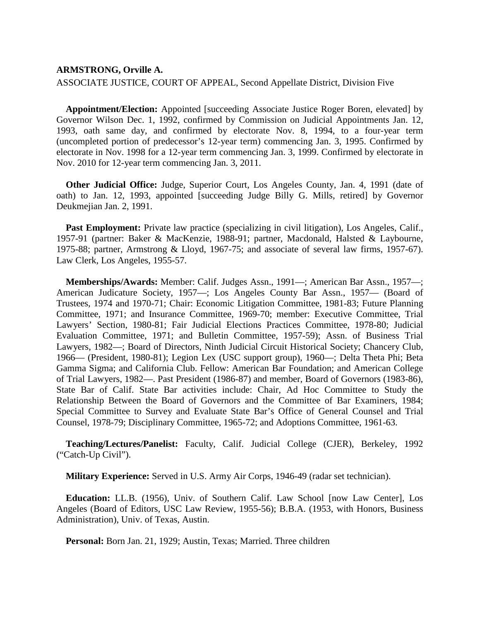## **ARMSTRONG, Orville A.** ASSOCIATE JUSTICE, COURT OF APPEAL, Second Appellate District, Division Five

**Appointment/Election:** Appointed [succeeding Associate Justice Roger Boren, elevated] by Governor Wilson Dec. 1, 1992, confirmed by Commission on Judicial Appointments Jan. 12, 1993, oath same day, and confirmed by electorate Nov. 8, 1994, to a four-year term (uncompleted portion of predecessor's 12-year term) commencing Jan. 3, 1995. Confirmed by electorate in Nov. 1998 for a 12-year term commencing Jan. 3, 1999. Confirmed by electorate in Nov. 2010 for 12-year term commencing Jan. 3, 2011.

**Other Judicial Office:** Judge, Superior Court, Los Angeles County, Jan. 4, 1991 (date of oath) to Jan. 12, 1993, appointed [succeeding Judge Billy G. Mills, retired] by Governor Deukmejian Jan. 2, 1991.

Past Employment: Private law practice (specializing in civil litigation), Los Angeles, Calif., 1957-91 (partner: Baker & MacKenzie, 1988-91; partner, Macdonald, Halsted & Laybourne, 1975-88; partner, Armstrong & Lloyd, 1967-75; and associate of several law firms, 1957-67). Law Clerk, Los Angeles, 1955-57.

**Memberships/Awards:** Member: Calif. Judges Assn., 1991—; American Bar Assn., 1957—; American Judicature Society, 1957—; Los Angeles County Bar Assn., 1957— (Board of Trustees, 1974 and 1970-71; Chair: Economic Litigation Committee, 1981-83; Future Planning Committee, 1971; and Insurance Committee, 1969-70; member: Executive Committee, Trial Lawyers' Section, 1980-81; Fair Judicial Elections Practices Committee, 1978-80; Judicial Evaluation Committee, 1971; and Bulletin Committee, 1957-59); Assn. of Business Trial Lawyers, 1982—; Board of Directors, Ninth Judicial Circuit Historical Society; Chancery Club, 1966— (President, 1980-81); Legion Lex (USC support group), 1960—; Delta Theta Phi; Beta Gamma Sigma; and California Club. Fellow: American Bar Foundation; and American College of Trial Lawyers, 1982—. Past President (1986-87) and member, Board of Governors (1983-86), State Bar of Calif. State Bar activities include: Chair, Ad Hoc Committee to Study the Relationship Between the Board of Governors and the Committee of Bar Examiners, 1984; Special Committee to Survey and Evaluate State Bar's Office of General Counsel and Trial Counsel, 1978-79; Disciplinary Committee, 1965-72; and Adoptions Committee, 1961-63.

**Teaching/Lectures/Panelist:** Faculty, Calif. Judicial College (CJER), Berkeley, 1992 ("Catch-Up Civil").

**Military Experience:** Served in U.S. Army Air Corps, 1946-49 (radar set technician).

**Education:** LL.B. (1956), Univ. of Southern Calif. Law School [now Law Center], Los Angeles (Board of Editors, USC Law Review, 1955-56); B.B.A. (1953, with Honors, Business Administration), Univ. of Texas, Austin.

**Personal:** Born Jan. 21, 1929; Austin, Texas; Married. Three children